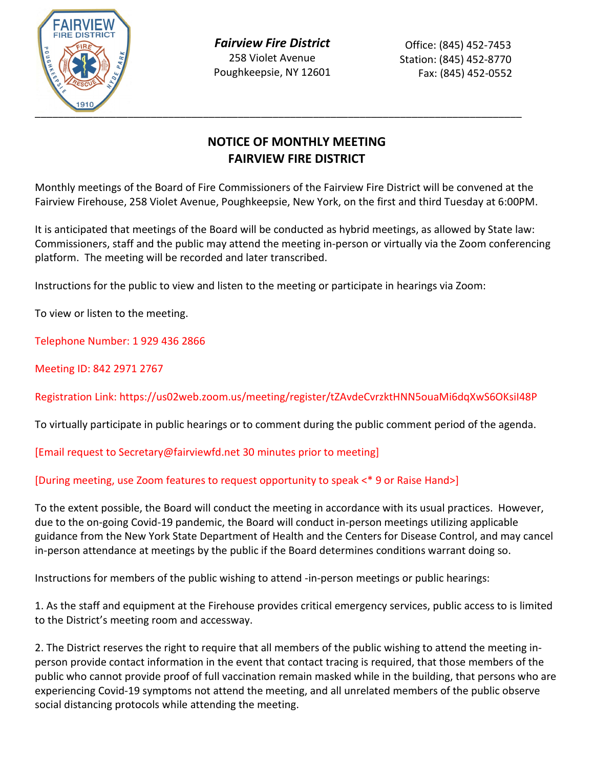

*Fairview Fire District* 258 Violet Avenue Poughkeepsie, NY 12601

## **NOTICE OF MONTHLY MEETING FAIRVIEW FIRE DISTRICT**

Monthly meetings of the Board of Fire Commissioners of the Fairview Fire District will be convened at the Fairview Firehouse, 258 Violet Avenue, Poughkeepsie, New York, on the first and third Tuesday at 6:00PM.

It is anticipated that meetings of the Board will be conducted as hybrid meetings, as allowed by State law: Commissioners, staff and the public may attend the meeting in-person or virtually via the Zoom conferencing platform. The meeting will be recorded and later transcribed.

Instructions for the public to view and listen to the meeting or participate in hearings via Zoom:

To view or listen to the meeting.

Telephone Number: 1 929 436 2866

Meeting ID: 842 2971 2767

Registration Link: https://us02web.zoom.us/meeting/register/tZAvdeCvrzktHNN5ouaMi6dqXwS6OKsiI48P

To virtually participate in public hearings or to comment during the public comment period of the agenda.

[Email request to Secretary@fairviewfd.net 30 minutes prior to meeting]

## [During meeting, use Zoom features to request opportunity to speak <\* 9 or Raise Hand>]

To the extent possible, the Board will conduct the meeting in accordance with its usual practices. However, due to the on-going Covid-19 pandemic, the Board will conduct in-person meetings utilizing applicable guidance from the New York State Department of Health and the Centers for Disease Control, and may cancel in-person attendance at meetings by the public if the Board determines conditions warrant doing so.

Instructions for members of the public wishing to attend -in-person meetings or public hearings:

1. As the staff and equipment at the Firehouse provides critical emergency services, public access to is limited to the District's meeting room and accessway.

2. The District reserves the right to require that all members of the public wishing to attend the meeting inperson provide contact information in the event that contact tracing is required, that those members of the public who cannot provide proof of full vaccination remain masked while in the building, that persons who are experiencing Covid-19 symptoms not attend the meeting, and all unrelated members of the public observe social distancing protocols while attending the meeting.